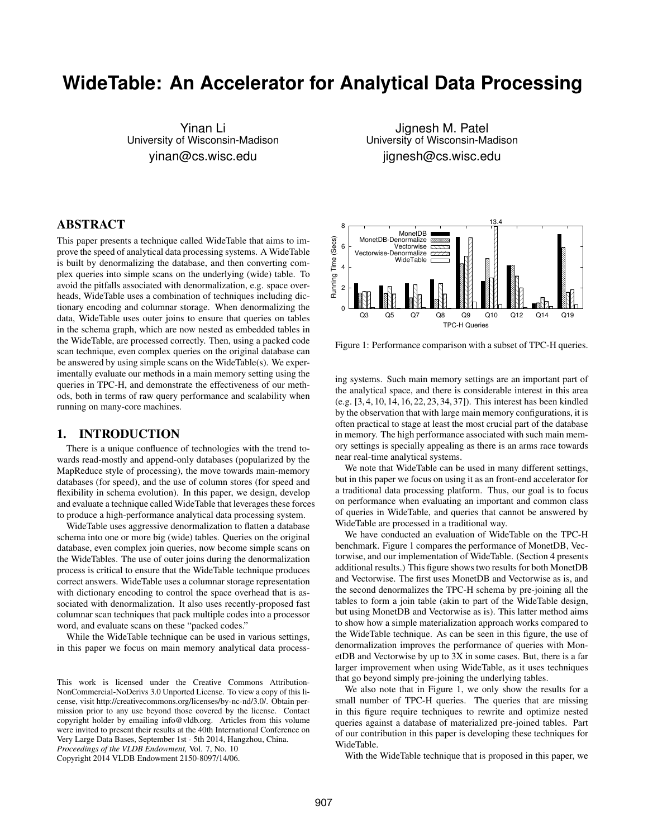# **WideTable: An Accelerator for Analytical Data Processing**

Yinan Li University of Wisconsin-Madison yinan@cs.wisc.edu

# ABSTRACT

This paper presents a technique called WideTable that aims to improve the speed of analytical data processing systems. A WideTable is built by denormalizing the database, and then converting complex queries into simple scans on the underlying (wide) table. To avoid the pitfalls associated with denormalization, e.g. space overheads, WideTable uses a combination of techniques including dictionary encoding and columnar storage. When denormalizing the data, WideTable uses outer joins to ensure that queries on tables in the schema graph, which are now nested as embedded tables in the WideTable, are processed correctly. Then, using a packed code scan technique, even complex queries on the original database can be answered by using simple scans on the WideTable(s). We experimentally evaluate our methods in a main memory setting using the queries in TPC-H, and demonstrate the effectiveness of our methods, both in terms of raw query performance and scalability when running on many-core machines.

# 1. INTRODUCTION

There is a unique confluence of technologies with the trend towards read-mostly and append-only databases (popularized by the MapReduce style of processing), the move towards main-memory databases (for speed), and the use of column stores (for speed and flexibility in schema evolution). In this paper, we design, develop and evaluate a technique called WideTable that leverages these forces to produce a high-performance analytical data processing system.

WideTable uses aggressive denormalization to flatten a database schema into one or more big (wide) tables. Queries on the original database, even complex join queries, now become simple scans on the WideTables. The use of outer joins during the denormalization process is critical to ensure that the WideTable technique produces correct answers. WideTable uses a columnar storage representation with dictionary encoding to control the space overhead that is associated with denormalization. It also uses recently-proposed fast columnar scan techniques that pack multiple codes into a processor word, and evaluate scans on these "packed codes."

While the WideTable technique can be used in various settings, in this paper we focus on main memory analytical data process-

Copyright 2014 VLDB Endowment 2150-8097/14/06.

Jignesh M. Patel University of Wisconsin-Madison jignesh@cs.wisc.edu



Figure 1: Performance comparison with a subset of TPC-H queries.

ing systems. Such main memory settings are an important part of the analytical space, and there is considerable interest in this area (e.g. [3, 4, 10, 14, 16, 22, 23, 34, 37]). This interest has been kindled by the observation that with large main memory configurations, it is often practical to stage at least the most crucial part of the database in memory. The high performance associated with such main memory settings is specially appealing as there is an arms race towards near real-time analytical systems.

We note that WideTable can be used in many different settings, but in this paper we focus on using it as an front-end accelerator for a traditional data processing platform. Thus, our goal is to focus on performance when evaluating an important and common class of queries in WideTable, and queries that cannot be answered by WideTable are processed in a traditional way.

We have conducted an evaluation of WideTable on the TPC-H benchmark. Figure 1 compares the performance of MonetDB, Vectorwise, and our implementation of WideTable. (Section 4 presents additional results.) This figure shows two results for both MonetDB and Vectorwise. The first uses MonetDB and Vectorwise as is, and the second denormalizes the TPC-H schema by pre-joining all the tables to form a join table (akin to part of the WideTable design, but using MonetDB and Vectorwise as is). This latter method aims to show how a simple materialization approach works compared to the WideTable technique. As can be seen in this figure, the use of denormalization improves the performance of queries with MonetDB and Vectorwise by up to 3X in some cases. But, there is a far larger improvement when using WideTable, as it uses techniques that go beyond simply pre-joining the underlying tables.

We also note that in Figure 1, we only show the results for a small number of TPC-H queries. The queries that are missing in this figure require techniques to rewrite and optimize nested queries against a database of materialized pre-joined tables. Part of our contribution in this paper is developing these techniques for WideTable.

With the WideTable technique that is proposed in this paper, we

This work is licensed under the Creative Commons Attribution-NonCommercial-NoDerivs 3.0 Unported License. To view a copy of this license, visit http://creativecommons.org/licenses/by-nc-nd/3.0/. Obtain permission prior to any use beyond those covered by the license. Contact copyright holder by emailing info@vldb.org. Articles from this volume were invited to present their results at the 40th International Conference on Very Large Data Bases, September 1st - 5th 2014, Hangzhou, China. *Proceedings of the VLDB Endowment,* Vol. 7, No. 10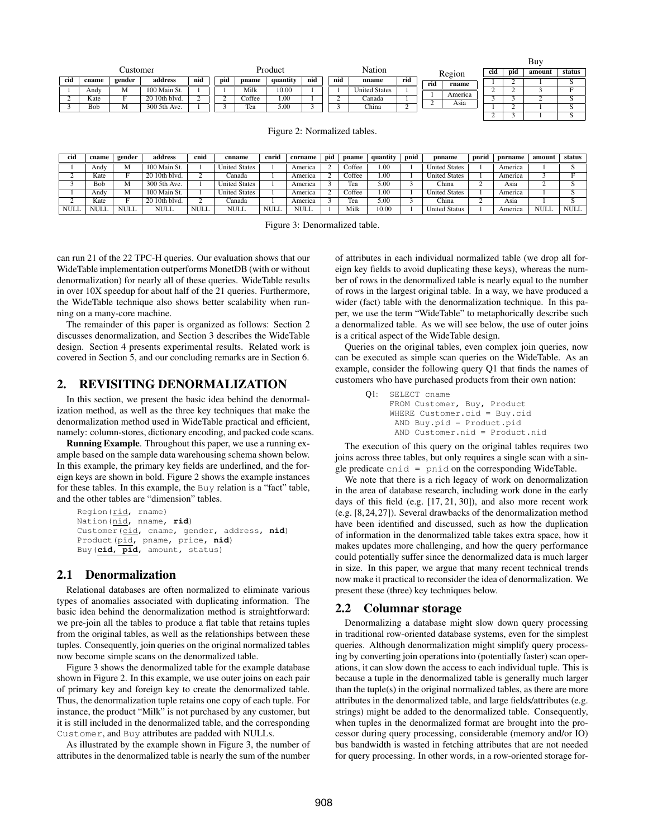|          |       |        |               |     |     |        |          |     |        |                      |     |     |                 |        |   | Buy |  |
|----------|-------|--------|---------------|-----|-----|--------|----------|-----|--------|----------------------|-----|-----|-----------------|--------|---|-----|--|
| Customer |       |        | Product       |     |     | Nation |          |     | Region |                      | cid | pid | amount          | status |   |     |  |
| cid      | cname | gender | address       | nid | pid | pname  | quantity | nid | nid    | nname                | rid | rid | rname           |        | ∸ |     |  |
|          | Andv  | М      | 100 Main St.  |     |     | Milk   | 10.00    |     |        | <b>United States</b> |     |     |                 |        |   |     |  |
|          | Kate  |        | 20 10th blvd. |     |     | Coffee | 1.00     |     |        | Canada               |     |     | America<br>Asia |        |   |     |  |
|          | Bob   | М      | 300 5th Ave.  |     |     | Tea    | 5.00     |     |        | China                |     |     |                 |        | ∸ |     |  |
|          |       |        |               |     |     |        |          |     |        |                      |     |     |                 |        |   |     |  |

Figure 2: Normalized tables.

| cid         | cname       | gender      | address       | cnid        | cnname               | cnrid       | cnrname     | pid | pname         | quantity | pnid | pnname               | pnrid | pnrname | amount      | status      |
|-------------|-------------|-------------|---------------|-------------|----------------------|-------------|-------------|-----|---------------|----------|------|----------------------|-------|---------|-------------|-------------|
|             | Andv        | м           | 100 Main St.  |             | <b>United States</b> |             | America     |     | Coffee        | 1.00     |      | <b>Jnited States</b> |       | America |             |             |
|             | Kate        |             | 20 10th blvd. |             | ∵anada               |             | America     |     | Coffee        | 1.00     |      | <b>Jnited States</b> |       | America |             |             |
|             | Bob         |             | 300 5th Ave.  |             | <b>United States</b> |             | America     |     | Tea           | 5.00     |      | China                |       | Asia    |             |             |
|             | Andv        | М           | 100 Main St.  |             | <b>United States</b> |             | America     |     | <b>Coffee</b> | 1.00     |      | <b>Inited States</b> |       | America |             |             |
|             | Kate        |             | 20 10th blvd. |             | ∑anada               |             | America     |     | Tea           | 5.00     |      | China                |       | Asia    |             |             |
| <b>NULL</b> | <b>NULL</b> | <b>NULL</b> | NULL          | <b>NULL</b> | NULL                 | <b>NULL</b> | <b>NULL</b> |     | Milk          | 10.00    |      | <b>United Status</b> |       | America | <b>NULL</b> | <b>NULL</b> |

Figure 3: Denormalized table.

can run 21 of the 22 TPC-H queries. Our evaluation shows that our WideTable implementation outperforms MonetDB (with or without denormalization) for nearly all of these queries. WideTable results in over 10X speedup for about half of the 21 queries. Furthermore, the WideTable technique also shows better scalability when running on a many-core machine.

The remainder of this paper is organized as follows: Section 2 discusses denormalization, and Section 3 describes the WideTable design. Section 4 presents experimental results. Related work is covered in Section 5, and our concluding remarks are in Section 6.

# 2. REVISITING DENORMALIZATION

In this section, we present the basic idea behind the denormalization method, as well as the three key techniques that make the denormalization method used in WideTable practical and efficient, namely: column-stores, dictionary encoding, and packed code scans.

Running Example. Throughout this paper, we use a running example based on the sample data warehousing schema shown below. In this example, the primary key fields are underlined, and the foreign keys are shown in bold. Figure 2 shows the example instances for these tables. In this example, the Buy relation is a "fact" table, and the other tables are "dimension" tables.

```
Region(rid, rname)
Nation(nid, nname, rid)
Customer(cid, cname, gender, address, nid)
Product(pid, pname, price, nid)
Buy(cid, pid, amount, status)
```
# 2.1 Denormalization

Relational databases are often normalized to eliminate various types of anomalies associated with duplicating information. The basic idea behind the denormalization method is straightforward: we pre-join all the tables to produce a flat table that retains tuples from the original tables, as well as the relationships between these tuples. Consequently, join queries on the original normalized tables now become simple scans on the denormalized table.

Figure 3 shows the denormalized table for the example database shown in Figure 2. In this example, we use outer joins on each pair of primary key and foreign key to create the denormalized table. Thus, the denormalization tuple retains one copy of each tuple. For instance, the product "Milk" is not purchased by any customer, but it is still included in the denormalized table, and the corresponding Customer, and Buy attributes are padded with NULLs.

As illustrated by the example shown in Figure 3, the number of attributes in the denormalized table is nearly the sum of the number

of attributes in each individual normalized table (we drop all foreign key fields to avoid duplicating these keys), whereas the number of rows in the denormalized table is nearly equal to the number of rows in the largest original table. In a way, we have produced a wider (fact) table with the denormalization technique. In this paper, we use the term "WideTable" to metaphorically describe such a denormalized table. As we will see below, the use of outer joins is a critical aspect of the WideTable design.

Queries on the original tables, even complex join queries, now can be executed as simple scan queries on the WideTable. As an example, consider the following query Q1 that finds the names of customers who have purchased products from their own nation:

```
Q1: SELECT cname
    FROM Customer, Buy, Product
    WHERE Customer.cid = Buy.cid
     AND\; Buy.pid = Product.pidAND Customer.nid = Product.nid
```
The execution of this query on the original tables requires two joins across three tables, but only requires a single scan with a single predicate  $cni d = pni d$  on the corresponding WideTable.

We note that there is a rich legacy of work on denormalization in the area of database research, including work done in the early days of this field (e.g. [17, 21, 30]), and also more recent work (e.g. [8,24,27]). Several drawbacks of the denormalization method have been identified and discussed, such as how the duplication of information in the denormalized table takes extra space, how it makes updates more challenging, and how the query performance could potentially suffer since the denormalized data is much larger in size. In this paper, we argue that many recent technical trends now make it practical to reconsider the idea of denormalization. We present these (three) key techniques below.

#### 2.2 Columnar storage

Denormalizing a database might slow down query processing in traditional row-oriented database systems, even for the simplest queries. Although denormalization might simplify query processing by converting join operations into (potentially faster) scan operations, it can slow down the access to each individual tuple. This is because a tuple in the denormalized table is generally much larger than the tuple(s) in the original normalized tables, as there are more attributes in the denormalized table, and large fields/attributes (e.g. strings) might be added to the denormalized table. Consequently, when tuples in the denormalized format are brought into the processor during query processing, considerable (memory and/or IO) bus bandwidth is wasted in fetching attributes that are not needed for query processing. In other words, in a row-oriented storage for-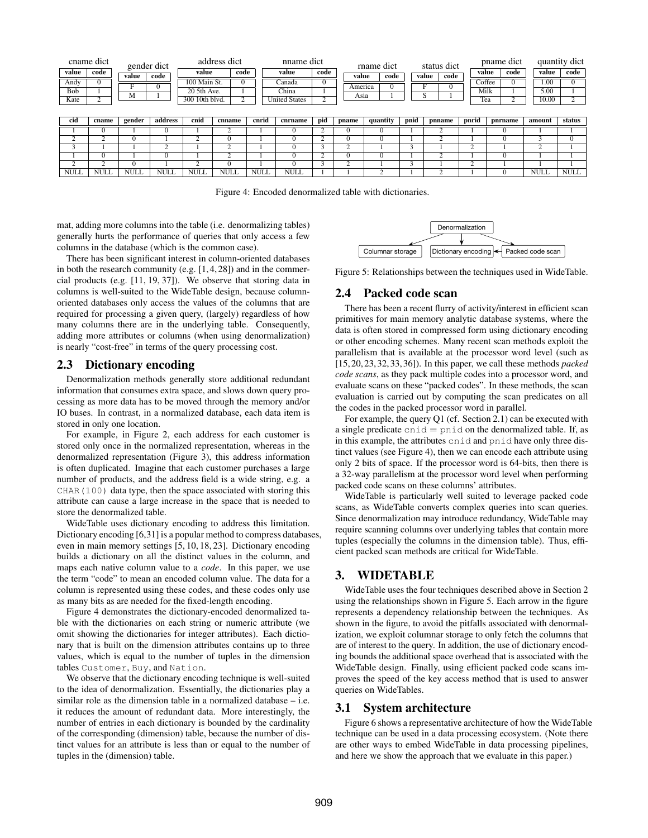| cname dict  |                | gender dict    |              | address dict   |                |             | nname dict           |              |          | rname dict   |        | status dict   |        | pname dict               |             | quantity dict  |
|-------------|----------------|----------------|--------------|----------------|----------------|-------------|----------------------|--------------|----------|--------------|--------|---------------|--------|--------------------------|-------------|----------------|
| value       | code           | value          | code         | value          | code           |             | value                | code         | value    | code         |        | code<br>value |        | code<br>value            | value       | code           |
| Andy        | $\Omega$       | F              | $\mathbf{0}$ | 100 Main St.   | $\mathbf{0}$   |             | Canada               | $\mathbf{0}$ | America  | $\mathbf{0}$ |        | Ħ<br>0        |        | Coffee<br>$\overline{0}$ | 00.1        | $\Omega$       |
| Bob         |                | $\overline{M}$ |              | 20 5th Ave.    |                |             | China                |              | Asia     |              |        | $\sim$<br>S   |        | Milk                     | 5.00        |                |
| Kate        | $\sim$         |                |              | 300 10th blvd. | 2              |             | <b>United States</b> | C            |          |              |        |               |        | Tea<br>C                 | 10.00       | $\Delta$       |
|             |                |                |              |                |                |             |                      |              |          |              |        |               |        |                          |             |                |
| cid         | cname          | gender         | address      | cnid           | cnname         | cnrid       | cnrname              | pid          | pname    | quantity     | pnid   | pnname        | pnrid  | pnrname                  | amount      | status         |
|             | $\mathbf{0}$   |                | $\Omega$     |                |                |             | $\Omega$             |              | $\bf{0}$ | $\mathbf{0}$ |        |               |        |                          |             |                |
| ◠           | $\overline{2}$ | $\mathbf{0}$   |              | 2              | $\mathbf{0}$   |             | $\Omega$             |              | 0        | $\mathbf{0}$ |        | 2             |        |                          |             | $\overline{0}$ |
| $\sim$      |                |                |              |                | ◠              |             | $\Omega$             |              | ⌒        |              | $\sim$ |               | ◠<br>∠ |                          | ◠           |                |
|             | $\Omega$       |                | $\Omega$     |                | ◠              |             | $\Omega$             |              | 0        | $\mathbf{0}$ |        | $\sim$        |        |                          |             |                |
| $\sim$      | 2              | $\Omega$       |              | ◠              | $\overline{0}$ |             | $\Omega$             |              | $\sim$   |              | ⌒      |               | ◠<br>∠ |                          |             |                |
| <b>NULL</b> | <b>NULL</b>    | <b>NULL</b>    | <b>NULL</b>  | <b>NULL</b>    | <b>NULL</b>    | <b>NULL</b> | <b>NULL</b>          |              |          | $\Omega$     |        | $\sim$        |        |                          | <b>NULL</b> | <b>NULL</b>    |

Figure 4: Encoded denormalized table with dictionaries.

mat, adding more columns into the table (i.e. denormalizing tables) generally hurts the performance of queries that only access a few columns in the database (which is the common case).

There has been significant interest in column-oriented databases in both the research community (e.g. [1, 4, 28]) and in the commercial products (e.g. [11, 19, 37]). We observe that storing data in columns is well-suited to the WideTable design, because columnoriented databases only access the values of the columns that are required for processing a given query, (largely) regardless of how many columns there are in the underlying table. Consequently, adding more attributes or columns (when using denormalization) is nearly "cost-free" in terms of the query processing cost.

## 2.3 Dictionary encoding

Denormalization methods generally store additional redundant information that consumes extra space, and slows down query processing as more data has to be moved through the memory and/or IO buses. In contrast, in a normalized database, each data item is stored in only one location.

For example, in Figure 2, each address for each customer is stored only once in the normalized representation, whereas in the denormalized representation (Figure 3), this address information is often duplicated. Imagine that each customer purchases a large number of products, and the address field is a wide string, e.g. a CHAR(100) data type, then the space associated with storing this attribute can cause a large increase in the space that is needed to store the denormalized table.

WideTable uses dictionary encoding to address this limitation. Dictionary encoding [6,31] is a popular method to compress databases, even in main memory settings [5, 10, 18, 23]. Dictionary encoding builds a dictionary on all the distinct values in the column, and maps each native column value to a *code*. In this paper, we use the term "code" to mean an encoded column value. The data for a column is represented using these codes, and these codes only use as many bits as are needed for the fixed-length encoding.

Figure 4 demonstrates the dictionary-encoded denormalized table with the dictionaries on each string or numeric attribute (we omit showing the dictionaries for integer attributes). Each dictionary that is built on the dimension attributes contains up to three values, which is equal to the number of tuples in the dimension tables Customer, Buy, and Nation.

We observe that the dictionary encoding technique is well-suited to the idea of denormalization. Essentially, the dictionaries play a similar role as the dimension table in a normalized database – i.e. it reduces the amount of redundant data. More interestingly, the number of entries in each dictionary is bounded by the cardinality of the corresponding (dimension) table, because the number of distinct values for an attribute is less than or equal to the number of tuples in the (dimension) table.



Figure 5: Relationships between the techniques used in WideTable.

## 2.4 Packed code scan

There has been a recent flurry of activity/interest in efficient scan primitives for main memory analytic database systems, where the data is often stored in compressed form using dictionary encoding or other encoding schemes. Many recent scan methods exploit the parallelism that is available at the processor word level (such as [15, 20, 23, 32, 33, 36]). In this paper, we call these methods *packed code scans*, as they pack multiple codes into a processor word, and evaluate scans on these "packed codes". In these methods, the scan evaluation is carried out by computing the scan predicates on all the codes in the packed processor word in parallel.

For example, the query Q1 (cf. Section 2.1) can be executed with a single predicate  $cni d = pni d$  on the denormalized table. If, as in this example, the attributes cnid and pnid have only three distinct values (see Figure 4), then we can encode each attribute using only 2 bits of space. If the processor word is 64-bits, then there is a 32-way parallelism at the processor word level when performing packed code scans on these columns' attributes.

WideTable is particularly well suited to leverage packed code scans, as WideTable converts complex queries into scan queries. Since denormalization may introduce redundancy, WideTable may require scanning columns over underlying tables that contain more tuples (especially the columns in the dimension table). Thus, efficient packed scan methods are critical for WideTable.

# 3. WIDETABLE

WideTable uses the four techniques described above in Section 2 using the relationships shown in Figure 5. Each arrow in the figure represents a dependency relationship between the techniques. As shown in the figure, to avoid the pitfalls associated with denormalization, we exploit columnar storage to only fetch the columns that are of interest to the query. In addition, the use of dictionary encoding bounds the additional space overhead that is associated with the WideTable design. Finally, using efficient packed code scans improves the speed of the key access method that is used to answer queries on WideTables.

#### 3.1 System architecture

Figure 6 shows a representative architecture of how the WideTable technique can be used in a data processing ecosystem. (Note there are other ways to embed WideTable in data processing pipelines, and here we show the approach that we evaluate in this paper.)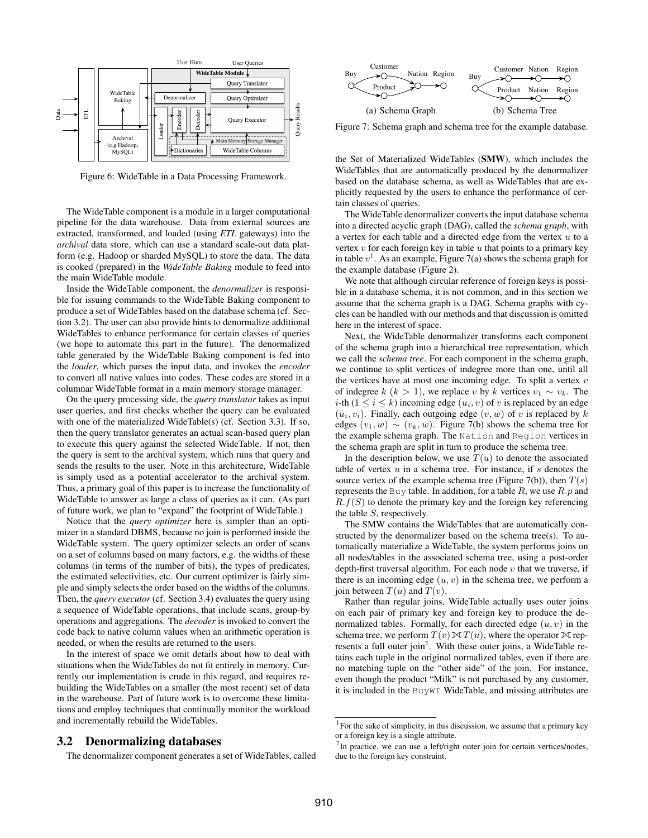

Figure 6: WideTable in a Data Processing Framework.

The WideTable component is a module in a larger computational pipeline for the data warehouse. Data from external sources are extracted, transformed, and loaded (using *ETL* gateways) into the *archival* data store, which can use a standard scale-out data platform (e.g. Hadoop or sharded MySQL) to store the data. The data is cooked (prepared) in the *WideTable Baking* module to feed into the main WideTable module.

Inside the WideTable component, the *denormalizer* is responsible for issuing commands to the WideTable Baking component to produce a set of WideTables based on the database schema (cf. Section 3.2). The user can also provide hints to denormalize additional WideTables to enhance performance for certain classes of queries (we hope to automate this part in the future). The denormalized table generated by the WideTable Baking component is fed into the *loader*, which parses the input data, and invokes the *encoder* to convert all native values into codes. These codes are stored in a columnar WideTable format in a main memory storage manager.

On the query processing side, the *query translator* takes as input user queries, and first checks whether the query can be evaluated with one of the materialized WideTable(s) (cf. Section 3.3). If so, then the query translator generates an actual scan-based query plan to execute this query against the selected WideTable. If not, then the query is sent to the archival system, which runs that query and sends the results to the user. Note in this architecture, WideTable is simply used as a potential accelerator to the archival system. Thus, a primary goal of this paper is to increase the functionality of WideTable to answer as large a class of queries as it can. (As part of future work, we plan to "expand" the footprint of WideTable.)

Notice that the *query optimizer* here is simpler than an optimizer in a standard DBMS, because no join is performed inside the WideTable system. The query optimizer selects an order of scans on a set of columns based on many factors, e.g. the widths of these columns (in terms of the number of bits), the types of predicates, the estimated selectivities, etc. Our current optimizer is fairly simple and simply selects the order based on the widths of the columns. Then, the *query executor* (cf. Section 3.4) evaluates the query using a sequence of WideTable operations, that include scans, group-by operations and aggregations. The *decoder* is invoked to convert the code back to native column values when an arithmetic operation is needed, or when the results are returned to the users.

In the interest of space we omit details about how to deal with situations when the WideTables do not fit entirely in memory. Currently our implementation is crude in this regard, and requires rebuilding the WideTables on a smaller (the most recent) set of data in the warehouse. Part of future work is to overcome these limitations and employ techniques that continually monitor the workload and incrementally rebuild the WideTables.

# 3.2 Denormalizing databases

The denormalizer component generates a set of WideTables, called



Figure 7: Schema graph and schema tree for the example database.

the Set of Materialized WideTables (SMW), which includes the WideTables that are automatically produced by the denormalizer based on the database schema, as well as WideTables that are explicitly requested by the users to enhance the performance of certain classes of queries.

The WideTable denormalizer converts the input database schema into a directed acyclic graph (DAG), called the *schema graph*, with a vertex for each table and a directed edge from the vertex  $u$  to a vertex  $v$  for each foreign key in table  $u$  that points to a primary key in table  $v^1$ . As an example, Figure 7(a) shows the schema graph for the example database (Figure 2).

We note that although circular reference of foreign keys is possible in a database schema, it is not common, and in this section we assume that the schema graph is a DAG. Schema graphs with cycles can be handled with our methods and that discussion is omitted here in the interest of space.

Next, the WideTable denormalizer transforms each component of the schema graph into a hierarchical tree representation, which we call the *schema tree*. For each component in the schema graph, we continue to split vertices of indegree more than one, until all the vertices have at most one incoming edge. To split a vertex  $v$ of indegree k (k > 1), we replace v by k vertices  $v_1 \sim v_k$ . The *i*-th ( $1 \le i \le k$ ) incoming edge  $(u_i, v)$  of v is replaced by an edge  $(u_i, v_i)$ . Finally, each outgoing edge  $(v, w)$  of v is replaced by k edges  $(v_1, w) \sim (v_k, w)$ . Figure 7(b) shows the schema tree for the example schema graph. The Nation and Region vertices in the schema graph are split in turn to produce the schema tree.

In the description below, we use  $T(u)$  to denote the associated table of vertex  $u$  in a schema tree. For instance, if  $s$  denotes the source vertex of the example schema tree (Figure 7(b)), then  $T(s)$ represents the Buy table. In addition, for a table  $R$ , we use  $R.p$  and  $R.f(S)$  to denote the primary key and the foreign key referencing the table  $S$ , respectively.

The SMW contains the WideTables that are automatically constructed by the denormalizer based on the schema tree(s). To automatically materialize a WideTable, the system performs joins on all nodes/tables in the associated schema tree, using a post-order depth-first traversal algorithm. For each node  $v$  that we traverse, if there is an incoming edge  $(u, v)$  in the schema tree, we perform a join between  $T(u)$  and  $T(v)$ .

Rather than regular joins, WideTable actually uses outer joins on each pair of primary key and foreign key to produce the denormalized tables. Formally, for each directed edge  $(u, v)$  in the schema tree, we perform  $T(v) \mathcal{N} T(u)$ , where the operator  $\mathcal N$  represents a full outer join<sup>2</sup>. With these outer joins, a WideTable retains each tuple in the original normalized tables, even if there are no matching tuple on the "other side" of the join. For instance, even though the product "Milk" is not purchased by any customer, it is included in the BuyWT WideTable, and missing attributes are

<sup>&</sup>lt;sup>1</sup> For the sake of simplicity, in this discussion, we assume that a primary key or a foreign key is a single attribute.

 $2$ In practice, we can use a left/right outer join for certain vertices/nodes, due to the foreign key constraint.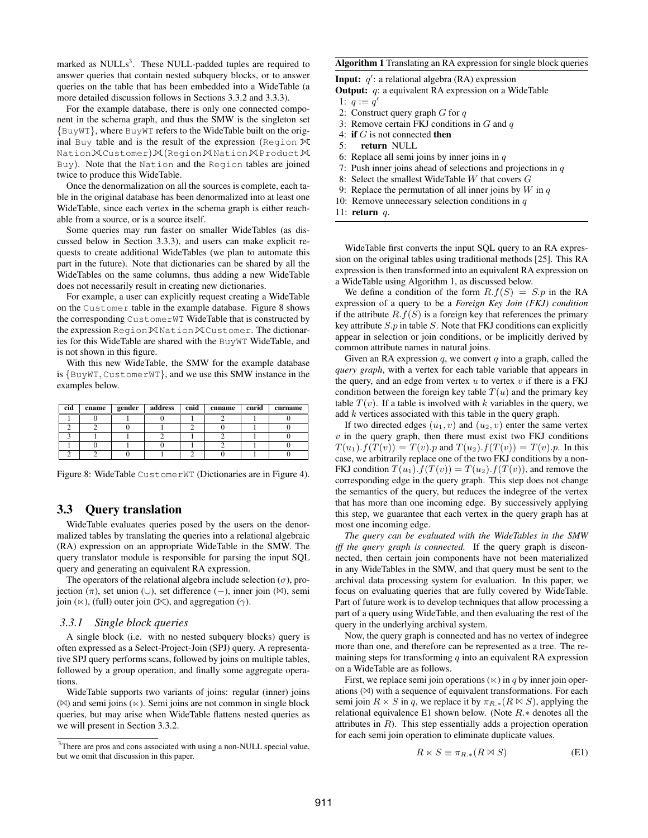marked as NULLs<sup>3</sup>. These NULL-padded tuples are required to answer queries that contain nested subquery blocks, or to answer queries on the table that has been embedded into a WideTable (a more detailed discussion follows in Sections 3.3.2 and 3.3.3).

For the example database, there is only one connected component in the schema graph, and thus the SMW is the singleton set {BuyWT}, where BuyWT refers to the WideTable built on the original Buy table and is the result of the expression (Region  $\mathbb{M}$ ) Nation ✶ Customer) ✶ (Region ✶ Nation ✶ Product ✶ Buy). Note that the Nation and the Region tables are joined twice to produce this WideTable.

Once the denormalization on all the sources is complete, each table in the original database has been denormalized into at least one WideTable, since each vertex in the schema graph is either reachable from a source, or is a source itself.

Some queries may run faster on smaller WideTables (as discussed below in Section 3.3.3), and users can make explicit requests to create additional WideTables (we plan to automate this part in the future). Note that dictionaries can be shared by all the WideTables on the same columns, thus adding a new WideTable does not necessarily result in creating new dictionaries.

For example, a user can explicitly request creating a WideTable on the Customer table in the example database. Figure 8 shows the corresponding CustomerWT WideTable that is constructed by the expression Region ✶ Nation ✶ Customer. The dictionaries for this WideTable are shared with the BuyWT WideTable, and is not shown in this figure.

With this new WideTable, the SMW for the example database is {BuyWT, CustomerWT}, and we use this SMW instance in the examples below.

| cid | cname | gender | address | cnid | cnname | cnrid | cnrname |
|-----|-------|--------|---------|------|--------|-------|---------|
|     |       |        |         |      |        |       |         |
|     |       |        |         |      |        |       |         |
|     |       |        |         |      |        |       |         |
|     |       |        |         |      |        |       |         |
|     |       |        |         |      |        |       |         |

Figure 8: WideTable CustomerWT (Dictionaries are in Figure 4).

# 3.3 Query translation

WideTable evaluates queries posed by the users on the denormalized tables by translating the queries into a relational algebraic (RA) expression on an appropriate WideTable in the SMW. The query translator module is responsible for parsing the input SQL query and generating an equivalent RA expression.

The operators of the relational algebra include selection  $(\sigma)$ , projection (π), set union (∪), set difference (−), inner join (✶), semi join ( $\ltimes$ ), (full) outer join ( $\ltimes$ ), and aggregation ( $\gamma$ ).

#### *3.3.1 Single block queries*

A single block (i.e. with no nested subquery blocks) query is often expressed as a Select-Project-Join (SPJ) query. A representative SPJ query performs scans, followed by joins on multiple tables, followed by a group operation, and finally some aggregate operations.

WideTable supports two variants of joins: regular (inner) joins  $(\bowtie)$  and semi joins  $(\bowtie)$ . Semi joins are not common in single block queries, but may arise when WideTable flattens nested queries as we will present in Section 3.3.2.

#### Algorithm 1 Translating an RA expression for single block queries

**Input:**  $q'$ : a relational algebra (RA) expression

**Output:** q: a equivalent RA expression on a WideTable 1:  $q := q'$ 

- 2: Construct query graph  $G$  for  $q$
- 3: Remove certain FKJ conditions in  $G$  and  $q$
- 4: if  $G$  is not connected then
- 5: return NULL
- 6: Replace all semi joins by inner joins in  $q$
- 7: Push inner joins ahead of selections and projections in  $q$
- 8: Select the smallest WideTable  $W$  that covers  $G$
- 9: Replace the permutation of all inner joins by  $W$  in  $q$
- 10: Remove unnecessary selection conditions in  $q$
- 11: **return** *q*.

WideTable first converts the input SQL query to an RA expression on the original tables using traditional methods [25]. This RA expression is then transformed into an equivalent RA expression on a WideTable using Algorithm 1, as discussed below.

We define a condition of the form  $R.f(S) = S.p$  in the RA expression of a query to be a *Foreign Key Join (FKJ) condition* if the attribute  $R.f(S)$  is a foreign key that references the primary key attribute  $S.p$  in table  $S.$  Note that FKJ conditions can explicitly appear in selection or join conditions, or be implicitly derived by common attribute names in natural joins.

Given an RA expression  $q$ , we convert  $q$  into a graph, called the *query graph*, with a vertex for each table variable that appears in the query, and an edge from vertex  $u$  to vertex  $v$  if there is a FKJ condition between the foreign key table  $T(u)$  and the primary key table  $T(v)$ . If a table is involved with k variables in the query, we add k vertices associated with this table in the query graph.

If two directed edges  $(u_1, v)$  and  $(u_2, v)$  enter the same vertex  $v$  in the query graph, then there must exist two FKJ conditions  $T(u_1) \cdot f(T(v)) = T(v) \cdot p$  and  $T(u_2) \cdot f(T(v)) = T(v) \cdot p$ . In this case, we arbitrarily replace one of the two FKJ conditions by a non-FKJ condition  $T(u_1) \cdot f(T(v)) = T(u_2) \cdot f(T(v))$ , and remove the corresponding edge in the query graph. This step does not change the semantics of the query, but reduces the indegree of the vertex that has more than one incoming edge. By successively applying this step, we guarantee that each vertex in the query graph has at most one incoming edge.

*The query can be evaluated with the WideTables in the SMW iff the query graph is connected.* If the query graph is disconnected, then certain join components have not been materialized in any WideTables in the SMW, and that query must be sent to the archival data processing system for evaluation. In this paper, we focus on evaluating queries that are fully covered by WideTable. Part of future work is to develop techniques that allow processing a part of a query using WideTable, and then evaluating the rest of the query in the underlying archival system.

Now, the query graph is connected and has no vertex of indegree more than one, and therefore can be represented as a tree. The remaining steps for transforming  $q$  into an equivalent RA expression on a WideTable are as follows.

First, we replace semi join operations  $(\times)$  in q by inner join operations  $(\mathbb{M})$  with a sequence of equivalent transformations. For each semi join  $R \ltimes S$  in q, we replace it by  $\pi_{R,*}(R \bowtie S)$ , applying the relational equivalence E1 shown below. (Note  $R.*$  denotes all the attributes in R). This step essentially adds a projection operation for each semi join operation to eliminate duplicate values.

$$
R \ltimes S \equiv \pi_{R.*}(R \bowtie S) \tag{E1}
$$

 $3$ There are pros and cons associated with using a non-NULL special value, but we omit that discussion in this paper.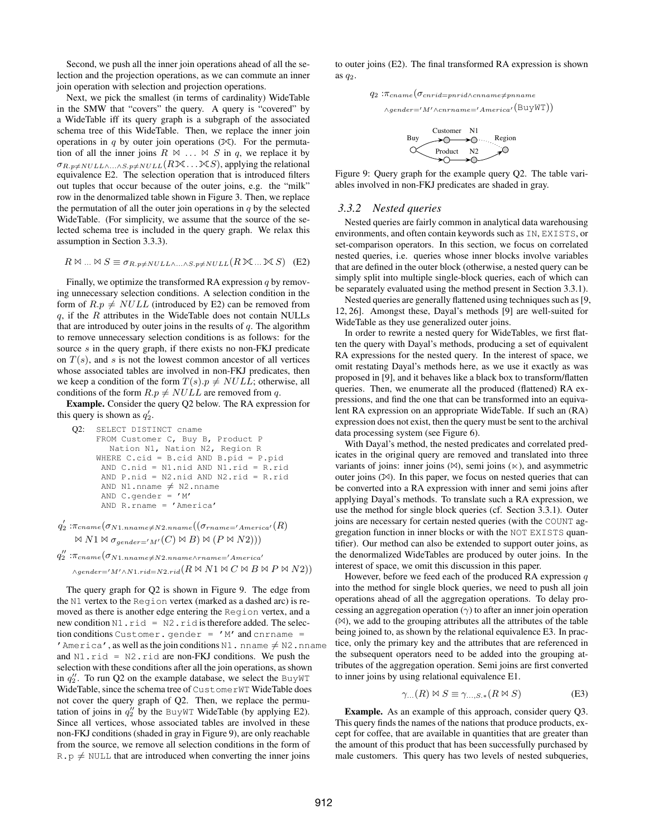Second, we push all the inner join operations ahead of all the selection and the projection operations, as we can commute an inner join operation with selection and projection operations.

Next, we pick the smallest (in terms of cardinality) WideTable in the SMW that "covers" the query. A query is "covered" by a WideTable iff its query graph is a subgraph of the associated schema tree of this WideTable. Then, we replace the inner join operations in q by outer join operations  $(\mathbb{X})$ . For the permutation of all the inner joins  $R \bowtie \dots \bowtie S$  in q, we replace it by  $\sigma_{R,p\neq NULL \wedge ... \wedge S,p\neq NULL}(R \mathbb{M} \dots \mathbb{M} S)$ , applying the relational equivalence E2. The selection operation that is introduced filters out tuples that occur because of the outer joins, e.g. the "milk" row in the denormalized table shown in Figure 3. Then, we replace the permutation of all the outer join operations in  $q$  by the selected WideTable. (For simplicity, we assume that the source of the selected schema tree is included in the query graph. We relax this assumption in Section 3.3.3).

$$
R \bowtie ... \bowtie S \equiv \sigma_{R.p \neq NULL \land ... \land S.p \neq NULL} (R \bowtie ... \bowtie S) \quad (E2)
$$

Finally, we optimize the transformed RA expression  $q$  by removing unnecessary selection conditions. A selection condition in the form of  $R.p \neq NULL$  (introduced by E2) can be removed from  $q$ , if the  $R$  attributes in the WideTable does not contain NULLs that are introduced by outer joins in the results of  $q$ . The algorithm to remove unnecessary selection conditions is as follows: for the source s in the query graph, if there exists no non-FKJ predicate on  $T(s)$ , and s is not the lowest common ancestor of all vertices whose associated tables are involved in non-FKJ predicates, then we keep a condition of the form  $T(s) \neq NULL$ ; otherwise, all conditions of the form  $R.p \neq NULL$  are removed from q.

Example. Consider the query Q2 below. The RA expression for this query is shown as  $q'_2$ .

```
Q2: SELECT DISTINCT cname
    FROM Customer C, Buy B, Product P
       Nation N1, Nation N2, Region R
    WHERE C.cid = B.cid AND B.pid = P.pidAND C.nid = N1.nid AND N1.rid = R.rid
     AND P.nid = N2.nid AND N2.rid = R.rid
     AND N1.nname \neq N2.nname
     AND C.gender = 'M'
     AND R.rname = 'America'
```
 $q_2^{\prime}$  : $\pi_{cname}(\sigma_{N1.name \neq N2.name}((\sigma_{rname=^{\prime} America^{\prime}}(R)$  $\bowtie N1 \bowtie \sigma_{gender='M'}(C) \bowtie B) \bowtie (P \bowtie N2))$ 

$$
q_2^{\prime\prime} : \pi_{\text{cname}}(\sigma_{N1.\text{name} \neq N2.\text{name} \land \text{rname}} = 'A \text{merica}^{\prime}
$$

$$
\land \text{gender} = {\prime} N^{\prime} \land N1.\text{ride} N2.\text{ride} (R \bowtie N1 \bowtie C \bowtie B \bowtie P \bowtie N2))
$$

The query graph for Q2 is shown in Figure 9. The edge from the N1 vertex to the Region vertex (marked as a dashed arc) is removed as there is another edge entering the Region vertex, and a new condition  $N1$ .  $rid = N2$ .  $rid$  is therefore added. The selection conditions Customer. gender =  $'M'$  and cnrname = 'America', as well as the join conditions  $N1$ . nname  $\neq N2$ . nname and  $N1$ .rid =  $N2$ .rid are non-FKJ conditions. We push the selection with these conditions after all the join operations, as shown in  $q_2''$ . To run Q2 on the example database, we select the BuyWT WideTable, since the schema tree of CustomerWT WideTable does not cover the query graph of Q2. Then, we replace the permutation of joins in  $q_2''$  by the BuyWT WideTable (by applying E2). Since all vertices, whose associated tables are involved in these non-FKJ conditions (shaded in gray in Figure 9), are only reachable from the source, we remove all selection conditions in the form of  $R.p \neq \text{NULL}$  that are introduced when converting the inner joins

to outer joins (E2). The final transformed RA expression is shown as  $q_2$ .



Figure 9: Query graph for the example query Q2. The table variables involved in non-FKJ predicates are shaded in gray.

#### *3.3.2 Nested queries*

Nested queries are fairly common in analytical data warehousing environments, and often contain keywords such as IN, EXISTS, or set-comparison operators. In this section, we focus on correlated nested queries, i.e. queries whose inner blocks involve variables that are defined in the outer block (otherwise, a nested query can be simply split into multiple single-block queries, each of which can be separately evaluated using the method present in Section 3.3.1).

Nested queries are generally flattened using techniques such as [9, 12, 26]. Amongst these, Dayal's methods [9] are well-suited for WideTable as they use generalized outer joins.

In order to rewrite a nested query for WideTables, we first flatten the query with Dayal's methods, producing a set of equivalent RA expressions for the nested query. In the interest of space, we omit restating Dayal's methods here, as we use it exactly as was proposed in [9], and it behaves like a black box to transform/flatten queries. Then, we enumerate all the produced (flattened) RA expressions, and find the one that can be transformed into an equivalent RA expression on an appropriate WideTable. If such an (RA) expression does not exist, then the query must be sent to the archival data processing system (see Figure 6).

With Dayal's method, the nested predicates and correlated predicates in the original query are removed and translated into three variants of joins: inner joins  $(\bowtie)$ , semi joins  $(\bowtie)$ , and asymmetric outer joins  $(\mathbb{M})$ . In this paper, we focus on nested queries that can be converted into a RA expression with inner and semi joins after applying Dayal's methods. To translate such a RA expression, we use the method for single block queries (cf. Section 3.3.1). Outer joins are necessary for certain nested queries (with the COUNT aggregation function in inner blocks or with the NOT EXISTS quantifier). Our method can also be extended to support outer joins, as the denormalized WideTables are produced by outer joins. In the interest of space, we omit this discussion in this paper.

However, before we feed each of the produced RA expression  $q$ into the method for single block queries, we need to push all join operations ahead of all the aggregation operations. To delay processing an aggregation operation  $(\gamma)$  to after an inner join operation  $(\bowtie)$ , we add to the grouping attributes all the attributes of the table being joined to, as shown by the relational equivalence E3. In practice, only the primary key and the attributes that are referenced in the subsequent operators need to be added into the grouping attributes of the aggregation operation. Semi joins are first converted to inner joins by using relational equivalence E1.

$$
\gamma_{...}(R) \bowtie S \equiv \gamma_{...,S,*}(R \bowtie S) \tag{E3}
$$

Example. As an example of this approach, consider query Q3. This query finds the names of the nations that produce products, except for coffee, that are available in quantities that are greater than the amount of this product that has been successfully purchased by male customers. This query has two levels of nested subqueries,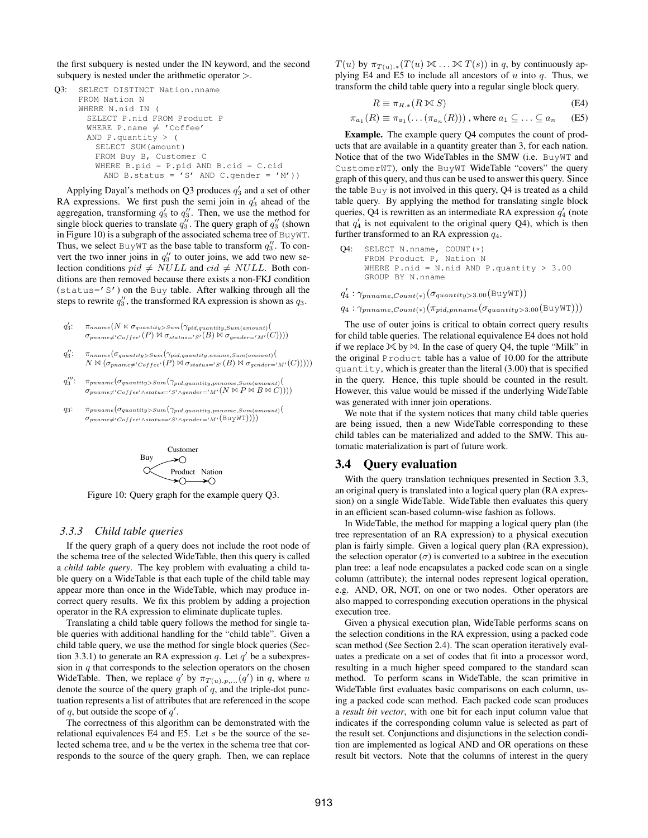the first subquery is nested under the IN keyword, and the second subquery is nested under the arithmetic operator >.

Q3: SELECT DISTINCT Nation.nname FROM Nation N WHERE N.nid IN ( SELECT P.nid FROM Product P WHERE P.name  $\neq$  'Coffee' AND P.quantity > ( SELECT SUM(amount) FROM Buy B, Customer C WHERE  $B.pid = P.pid AND B.cid = C.cid$ AND B.status =  $'S'$  AND C.gender =  $'M')$ )

Applying Dayal's methods on Q3 produces  $q'_3$  and a set of other RA expressions. We first push the semi join in  $q'_3$  ahead of the aggregation, transforming  $q'_3$  to  $q''_3$ . Then, we use the method for single block queries to translate  $q_3''$ . The query graph of  $q_3''$  (shown in Figure 10) is a subgraph of the associated schema tree of BuyWT. Thus, we select BuyWT as the base table to transform  $q''_3$ . To convert the two inner joins in  $q''_3$  to outer joins, we add two new selection conditions  $pid \neq NULL$  and  $cid \neq NULL$ . Both conditions are then removed because there exists a non-FKJ condition (status='S') on the Buy table. After walking through all the steps to rewrite  $q_3''$ , the transformed RA expression is shown as  $q_3$ .

- $q'_3$  $\pi_{nname}(N\ltimes \sigma_{quantity>Sum}(\gamma_{pid,quantity,Sum(amount)}))$  $\sigma_{pname\neq' Coffee'}(P) \bowtie \sigma_{status=^S}(B) \bowtie \sigma_{gender=^S(M)}(C))))$
- $q''_3$  $\pi_{nname}(\sigma_{quantity>Sum}(\gamma_{pid,quantity,nname,Sum(amount)}($  $N \bowtie (\sigma_{pname \neq 'Coffee'}(\overline{P}) \bowtie \sigma_{status='S'}(\overline{B}) \bowtie \sigma_{gender='M'}(C))))$
- $q_3^{\prime\prime\prime}$ :  $\pi_{pnname}(\sigma_{quantity>Sum}(\gamma_{pid,quantity, pnname,Sum(amount)})$  $\sigma_{pname \neq 'Coffee' \land status='S' \land gender='M' (N \bowtie P \bowtie B \bowtie C)))$
- $q_3: \quad \pi_{pnname}(\sigma_{quantity>Sum}(\gamma_{pid,quantity, pnname,Sum(amount)}($  $\sigma_{pname \neq 'Coffee' \land status='S' \land gender='M' (\text{BuyWT})))$



Figure 10: Query graph for the example query Q3.

#### *3.3.3 Child table queries*

If the query graph of a query does not include the root node of the schema tree of the selected WideTable, then this query is called a *child table query*. The key problem with evaluating a child table query on a WideTable is that each tuple of the child table may appear more than once in the WideTable, which may produce incorrect query results. We fix this problem by adding a projection operator in the RA expression to eliminate duplicate tuples.

Translating a child table query follows the method for single table queries with additional handling for the "child table". Given a child table query, we use the method for single block queries (Section 3.3.1) to generate an RA expression q. Let  $q'$  be a subexpression in  $q$  that corresponds to the selection operators on the chosen WideTable. Then, we replace q' by  $\pi_{T(u), p,...}(q')$  in q, where u denote the source of the query graph of  $q$ , and the triple-dot punctuation represents a list of attributes that are referenced in the scope of q, but outside the scope of  $q'$ .

The correctness of this algorithm can be demonstrated with the relational equivalences E4 and E5. Let s be the source of the selected schema tree, and  $u$  be the vertex in the schema tree that corresponds to the source of the query graph. Then, we can replace  $T(u)$  by  $\pi_{T(u)*}(T(u) \bowtie \ldots \bowtie T(s))$  in q, by continuously applying E4 and E5 to include all ancestors of  $u$  into  $q$ . Thus, we transform the child table query into a regular single block query.

$$
R \equiv \pi_{R,*}(R \bowtie S) \tag{E4}
$$

$$
\pi_{a_1}(R) \equiv \pi_{a_1}(\dots(\pi_{a_n}(R)))
$$
, where  $a_1 \subseteq \dots \subseteq a_n$  (E5)

Example. The example query Q4 computes the count of products that are available in a quantity greater than 3, for each nation. Notice that of the two WideTables in the SMW (i.e. BuyWT and CustomerWT), only the BuyWT WideTable "covers" the query graph of this query, and thus can be used to answer this query. Since the table Buy is not involved in this query, Q4 is treated as a child table query. By applying the method for translating single block queries, Q4 is rewritten as an intermediate RA expression  $q'_4$  (note that  $q'_4$  is not equivalent to the original query  $Q_4$ ), which is then further transformed to an RA expression  $q_4$ .

- Q4: SELECT N.nname, COUNT(\*) FROM Product P, Nation N WHERE P.nid = N.nid AND P.quantity >  $3.00$ GROUP BY N.nname
- $q'_{4}: \gamma_{pnname,Count(*)}(\sigma_{quantity>3.00}(\texttt{BuyWT}))$

 $q_4: \gamma_{pnname,Count(*)}(\pi_{pid,pnname}(\sigma_{quantity>3.00}(\texttt{BuyWT})))$ 

The use of outer joins is critical to obtain correct query results for child table queries. The relational equivalence E4 does not hold if we replace  $\mathbb{M}$  by  $\mathbb{M}$ . In the case of query Q4, the tuple "Milk" in the original Product table has a value of 10.00 for the attribute quantity, which is greater than the literal  $(3.00)$  that is specified in the query. Hence, this tuple should be counted in the result. However, this value would be missed if the underlying WideTable was generated with inner join operations.

We note that if the system notices that many child table queries are being issued, then a new WideTable corresponding to these child tables can be materialized and added to the SMW. This automatic materialization is part of future work.

# 3.4 Query evaluation

With the query translation techniques presented in Section 3.3, an original query is translated into a logical query plan (RA expression) on a single WideTable. WideTable then evaluates this query in an efficient scan-based column-wise fashion as follows.

In WideTable, the method for mapping a logical query plan (the tree representation of an RA expression) to a physical execution plan is fairly simple. Given a logical query plan (RA expression), the selection operator  $(\sigma)$  is converted to a subtree in the execution plan tree: a leaf node encapsulates a packed code scan on a single column (attribute); the internal nodes represent logical operation, e.g. AND, OR, NOT, on one or two nodes. Other operators are also mapped to corresponding execution operations in the physical execution tree.

Given a physical execution plan, WideTable performs scans on the selection conditions in the RA expression, using a packed code scan method (See Section 2.4). The scan operation iteratively evaluates a predicate on a set of codes that fit into a processor word, resulting in a much higher speed compared to the standard scan method. To perform scans in WideTable, the scan primitive in WideTable first evaluates basic comparisons on each column, using a packed code scan method. Each packed code scan produces a *result bit vector*, with one bit for each input column value that indicates if the corresponding column value is selected as part of the result set. Conjunctions and disjunctions in the selection condition are implemented as logical AND and OR operations on these result bit vectors. Note that the columns of interest in the query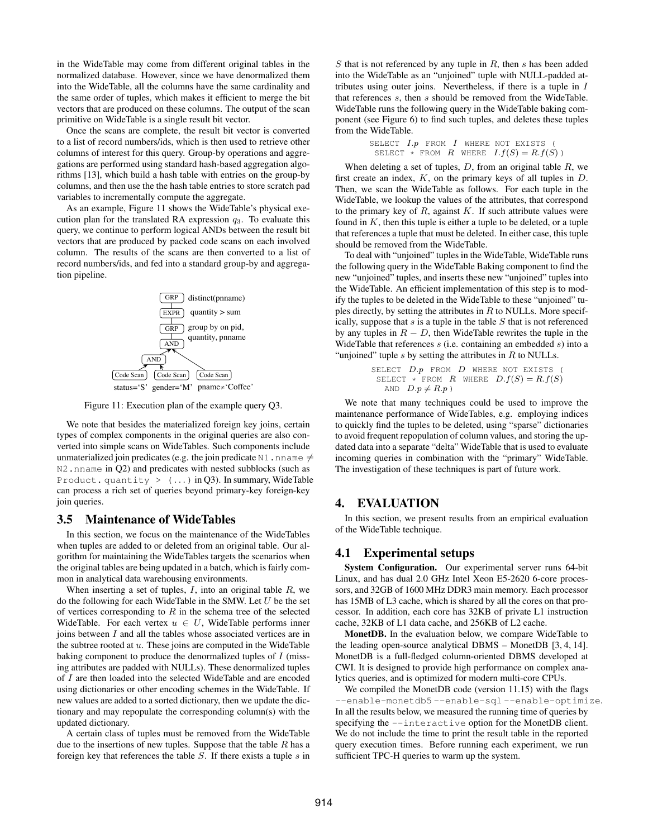in the WideTable may come from different original tables in the normalized database. However, since we have denormalized them into the WideTable, all the columns have the same cardinality and the same order of tuples, which makes it efficient to merge the bit vectors that are produced on these columns. The output of the scan primitive on WideTable is a single result bit vector.

Once the scans are complete, the result bit vector is converted to a list of record numbers/ids, which is then used to retrieve other columns of interest for this query. Group-by operations and aggregations are performed using standard hash-based aggregation algorithms [13], which build a hash table with entries on the group-by columns, and then use the the hash table entries to store scratch pad variables to incrementally compute the aggregate.

As an example, Figure 11 shows the WideTable's physical execution plan for the translated RA expression  $q_3$ . To evaluate this query, we continue to perform logical ANDs between the result bit vectors that are produced by packed code scans on each involved column. The results of the scans are then converted to a list of record numbers/ids, and fed into a standard group-by and aggregation pipeline.



Figure 11: Execution plan of the example query Q3.

We note that besides the materialized foreign key joins, certain types of complex components in the original queries are also converted into simple scans on WideTables. Such components include unmaterialized join predicates (e.g. the join predicate N1. nname  $\neq$ N2.nname in Q2) and predicates with nested subblocks (such as Product. quantity  $>$   $(\ldots)$  in Q3). In summary, WideTable can process a rich set of queries beyond primary-key foreign-key join queries.

#### 3.5 Maintenance of WideTables

In this section, we focus on the maintenance of the WideTables when tuples are added to or deleted from an original table. Our algorithm for maintaining the WideTables targets the scenarios when the original tables are being updated in a batch, which is fairly common in analytical data warehousing environments.

When inserting a set of tuples,  $I$ , into an original table  $R$ , we do the following for each WideTable in the SMW. Let  $U$  be the set of vertices corresponding to  $R$  in the schema tree of the selected WideTable. For each vertex  $u \in U$ , WideTable performs inner joins between I and all the tables whose associated vertices are in the subtree rooted at  $u$ . These joins are computed in the WideTable baking component to produce the denormalized tuples of  $I$  (missing attributes are padded with NULLs). These denormalized tuples of I are then loaded into the selected WideTable and are encoded using dictionaries or other encoding schemes in the WideTable. If new values are added to a sorted dictionary, then we update the dictionary and may repopulate the corresponding column(s) with the updated dictionary.

A certain class of tuples must be removed from the WideTable due to the insertions of new tuples. Suppose that the table  $R$  has a foreign key that references the table  $S$ . If there exists a tuple  $s$  in

 $S$  that is not referenced by any tuple in  $R$ , then  $s$  has been added into the WideTable as an "unjoined" tuple with NULL-padded attributes using outer joins. Nevertheless, if there is a tuple in  $I$ that references s, then s should be removed from the WideTable. WideTable runs the following query in the WideTable baking component (see Figure 6) to find such tuples, and deletes these tuples from the WideTable.

> SELECT  $I.p$  FROM  $I$  WHERE NOT EXISTS ( SELECT  $\star$  FROM R WHERE  $I.f(S) = R.f(S)$ )

When deleting a set of tuples,  $D$ , from an original table  $R$ , we first create an index,  $K$ , on the primary keys of all tuples in  $D$ . Then, we scan the WideTable as follows. For each tuple in the WideTable, we lookup the values of the attributes, that correspond to the primary key of  $R$ , against  $K$ . If such attribute values were found in  $K$ , then this tuple is either a tuple to be deleted, or a tuple that references a tuple that must be deleted. In either case, this tuple should be removed from the WideTable.

To deal with "unjoined" tuples in the WideTable, WideTable runs the following query in the WideTable Baking component to find the new "unjoined" tuples, and inserts these new "unjoined" tuples into the WideTable. An efficient implementation of this step is to modify the tuples to be deleted in the WideTable to these "unjoined" tuples directly, by setting the attributes in  $R$  to NULLs. More specifically, suppose that  $s$  is a tuple in the table  $S$  that is not referenced by any tuples in  $R - D$ , then WideTable rewrites the tuple in the WideTable that references  $s$  (i.e. containing an embedded  $s$ ) into a "unjoined" tuple  $s$  by setting the attributes in  $R$  to NULLs.

```
SELECT D.p FROM D WHERE NOT EXISTS (
SELECT \star FROM R WHERE D.f(S) = R.f(S)AND D.p \neq R.p)
```
We note that many techniques could be used to improve the maintenance performance of WideTables, e.g. employing indices to quickly find the tuples to be deleted, using "sparse" dictionaries to avoid frequent repopulation of column values, and storing the updated data into a separate "delta" WideTable that is used to evaluate incoming queries in combination with the "primary" WideTable. The investigation of these techniques is part of future work.

# 4. EVALUATION

In this section, we present results from an empirical evaluation of the WideTable technique.

# 4.1 Experimental setups

System Configuration. Our experimental server runs 64-bit Linux, and has dual 2.0 GHz Intel Xeon E5-2620 6-core processors, and 32GB of 1600 MHz DDR3 main memory. Each processor has 15MB of L3 cache, which is shared by all the cores on that processor. In addition, each core has 32KB of private L1 instruction cache, 32KB of L1 data cache, and 256KB of L2 cache.

MonetDB. In the evaluation below, we compare WideTable to the leading open-source analytical DBMS – MonetDB [3, 4, 14]. MonetDB is a full-fledged column-oriented DBMS developed at CWI. It is designed to provide high performance on complex analytics queries, and is optimized for modern multi-core CPUs.

We compiled the MonetDB code (version 11.15) with the flags --enable-monetdb5--enable-sql--enable-optimize. In all the results below, we measured the running time of queries by specifying the --interactive option for the MonetDB client. We do not include the time to print the result table in the reported query execution times. Before running each experiment, we run sufficient TPC-H queries to warm up the system.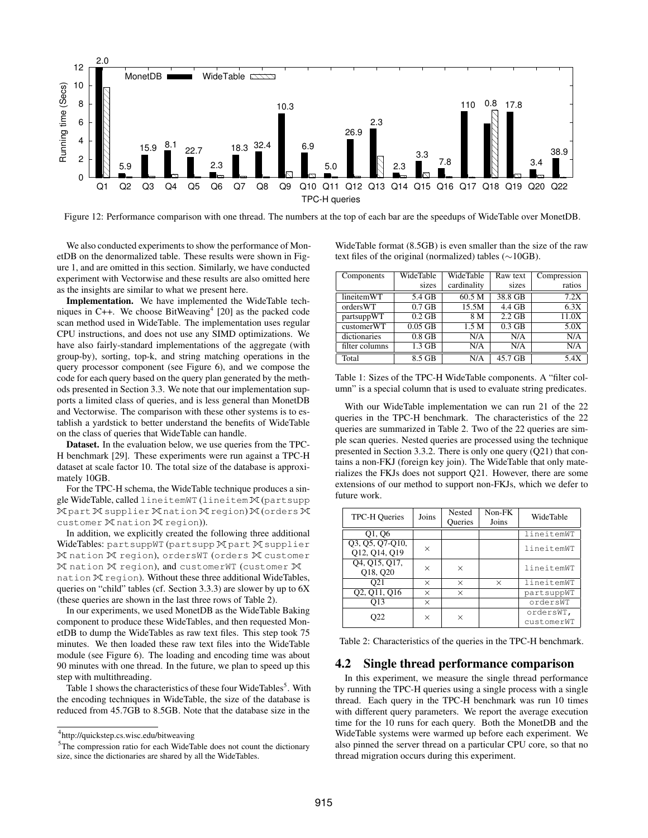

Figure 12: Performance comparison with one thread. The numbers at the top of each bar are the speedups of WideTable over MonetDB.

We also conducted experiments to show the performance of MonetDB on the denormalized table. These results were shown in Figure 1, and are omitted in this section. Similarly, we have conducted experiment with Vectorwise and these results are also omitted here as the insights are similar to what we present here.

Implementation. We have implemented the WideTable techniques in C++. We choose  $BitWeaving<sup>4</sup> [20]$  as the packed code scan method used in WideTable. The implementation uses regular CPU instructions, and does not use any SIMD optimizations. We have also fairly-standard implementations of the aggregate (with group-by), sorting, top-k, and string matching operations in the query processor component (see Figure 6), and we compose the code for each query based on the query plan generated by the methods presented in Section 3.3. We note that our implementation supports a limited class of queries, and is less general than MonetDB and Vectorwise. The comparison with these other systems is to establish a yardstick to better understand the benefits of WideTable on the class of queries that WideTable can handle.

Dataset. In the evaluation below, we use queries from the TPC-H benchmark [29]. These experiments were run against a TPC-H dataset at scale factor 10. The total size of the database is approximately 10GB.

For the TPC-H schema, the WideTable technique produces a single WideTable, called lineitemWT (lineitem ✶ (partsupp  $\mathbb{M}$  part  $\mathbb{M}$  supplier  $\mathbb{M}$  nation  $\mathbb{M}$  region)  $\mathbb{M}$  (orders  $\mathbb{M}$ customer  $M$  nation  $M$  region)).

In addition, we explicitly created the following three additional WideTables: partsuppWT (partsupp  $M$  part  $M$  supplier ✶ nation ✶ region), ordersWT (orders ✶ customer  $M$  nation  $M$  region), and customerWT (customer  $M$ nation ✶ region). Without these three additional WideTables, queries on "child" tables (cf. Section 3.3.3) are slower by up to 6X (these queries are shown in the last three rows of Table 2).

In our experiments, we used MonetDB as the WideTable Baking component to produce these WideTables, and then requested MonetDB to dump the WideTables as raw text files. This step took 75 minutes. We then loaded these raw text files into the WideTable module (see Figure 6). The loading and encoding time was about 90 minutes with one thread. In the future, we plan to speed up this step with multithreading.

Table 1 shows the characteristics of these four WideTables<sup>5</sup>. With the encoding techniques in WideTable, the size of the database is reduced from 45.7GB to 8.5GB. Note that the database size in the

WideTable format (8.5GB) is even smaller than the size of the raw text files of the original (normalized) tables (∼10GB).

| Components     | WideTable | WideTable        | Raw text | Compression |  |
|----------------|-----------|------------------|----------|-------------|--|
|                | sizes     | cardinality      | sizes    | ratios      |  |
| lineitemWT     | 5.4 GB    | 60.5 M           | 38.8 GB  | 7.2X        |  |
| ordersWT       | $0.7$ GB  | 15.5M            | 4.4 GB   | 6.3X        |  |
| partsuppWT     | $0.2$ GB  | 8 M              | $2.2$ GB | 11.0X       |  |
| customerWT     | $0.05$ GB | 1.5 <sub>M</sub> | $0.3$ GB | 5.0X        |  |
| dictionaries   | $0.8$ GB  | N/A              | N/A      | N/A         |  |
| filter columns | $1.3$ GB  | N/A              | N/A      | N/A         |  |
| Total          | 8.5 GB    | N/A              | 45.7 GB  | 5.4X        |  |

Table 1: Sizes of the TPC-H WideTable components. A "filter column" is a special column that is used to evaluate string predicates.

With our WideTable implementation we can run 21 of the 22 queries in the TPC-H benchmark. The characteristics of the 22 queries are summarized in Table 2. Two of the 22 queries are simple scan queries. Nested queries are processed using the technique presented in Section 3.3.2. There is only one query (Q21) that contains a non-FKJ (foreign key join). The WideTable that only materializes the FKJs does not support Q21. However, there are some extensions of our method to support non-FKJs, which we defer to future work.

| <b>TPC-H Queries</b>                               | Joins    | Nested<br><b>Oueries</b> | Non-FK<br>Joins | WideTable               |  |
|----------------------------------------------------|----------|--------------------------|-----------------|-------------------------|--|
| Q1, Q6                                             |          |                          |                 | lineitemWT              |  |
| Q3, Q5, Q7-Q10,<br>Q12, Q14, Q19                   | $\times$ |                          |                 | lineitemWT              |  |
| Q4, Q15, Q17,<br>Q18, Q20                          | $\times$ | $\times$                 |                 | lineitemWT              |  |
| O21                                                | $\times$ | $\times$                 | $\times$        | lineitemWT              |  |
| Q <sub>2</sub> , Q <sub>11</sub> , Q <sub>16</sub> | X        | $\times$                 |                 | partsuppWT              |  |
| О13                                                | $\times$ |                          |                 | ordersWT                |  |
| )22                                                | $\times$ | $\times$                 |                 | ordersWT,<br>customerWT |  |

Table 2: Characteristics of the queries in the TPC-H benchmark.

#### 4.2 Single thread performance comparison

In this experiment, we measure the single thread performance by running the TPC-H queries using a single process with a single thread. Each query in the TPC-H benchmark was run 10 times with different query parameters. We report the average execution time for the 10 runs for each query. Both the MonetDB and the WideTable systems were warmed up before each experiment. We also pinned the server thread on a particular CPU core, so that no thread migration occurs during this experiment.

<sup>4</sup> http://quickstep.cs.wisc.edu/bitweaving

<sup>&</sup>lt;sup>5</sup>The compression ratio for each WideTable does not count the dictionary size, since the dictionaries are shared by all the WideTables.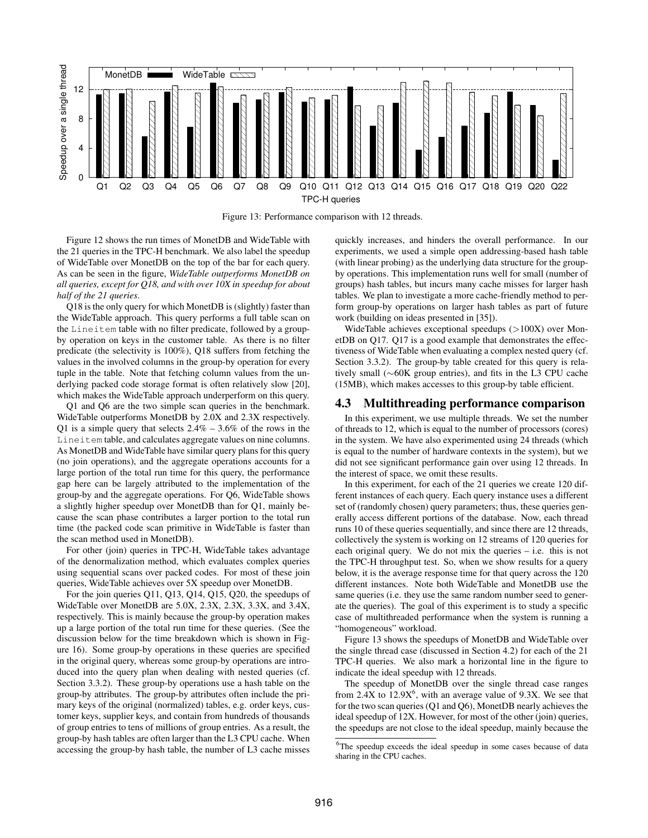

Figure 13: Performance comparison with 12 threads.

Figure 12 shows the run times of MonetDB and WideTable with the 21 queries in the TPC-H benchmark. We also label the speedup of WideTable over MonetDB on the top of the bar for each query. As can be seen in the figure, *WideTable outperforms MonetDB on all queries, except for Q18, and with over 10X in speedup for about half of the 21 queries*.

Q18 is the only query for which MonetDB is (slightly) faster than the WideTable approach. This query performs a full table scan on the Lineitem table with no filter predicate, followed by a groupby operation on keys in the customer table. As there is no filter predicate (the selectivity is 100%), Q18 suffers from fetching the values in the involved columns in the group-by operation for every tuple in the table. Note that fetching column values from the underlying packed code storage format is often relatively slow [20], which makes the WideTable approach underperform on this query.

Q1 and Q6 are the two simple scan queries in the benchmark. WideTable outperforms MonetDB by 2.0X and 2.3X respectively. Q1 is a simple query that selects  $2.4\% - 3.6\%$  of the rows in the Lineitem table, and calculates aggregate values on nine columns. As MonetDB and WideTable have similar query plans for this query (no join operations), and the aggregate operations accounts for a large portion of the total run time for this query, the performance gap here can be largely attributed to the implementation of the group-by and the aggregate operations. For Q6, WideTable shows a slightly higher speedup over MonetDB than for Q1, mainly because the scan phase contributes a larger portion to the total run time (the packed code scan primitive in WideTable is faster than the scan method used in MonetDB).

For other (join) queries in TPC-H, WideTable takes advantage of the denormalization method, which evaluates complex queries using sequential scans over packed codes. For most of these join queries, WideTable achieves over 5X speedup over MonetDB.

For the join queries Q11, Q13, Q14, Q15, Q20, the speedups of WideTable over MonetDB are 5.0X, 2.3X, 2.3X, 3.3X, and 3.4X, respectively. This is mainly because the group-by operation makes up a large portion of the total run time for these queries. (See the discussion below for the time breakdown which is shown in Figure 16). Some group-by operations in these queries are specified in the original query, whereas some group-by operations are introduced into the query plan when dealing with nested queries (cf. Section 3.3.2). These group-by operations use a hash table on the group-by attributes. The group-by attributes often include the primary keys of the original (normalized) tables, e.g. order keys, customer keys, supplier keys, and contain from hundreds of thousands of group entries to tens of millions of group entries. As a result, the group-by hash tables are often larger than the L3 CPU cache. When accessing the group-by hash table, the number of L3 cache misses

quickly increases, and hinders the overall performance. In our experiments, we used a simple open addressing-based hash table (with linear probing) as the underlying data structure for the groupby operations. This implementation runs well for small (number of groups) hash tables, but incurs many cache misses for larger hash tables. We plan to investigate a more cache-friendly method to perform group-by operations on larger hash tables as part of future work (building on ideas presented in [35]).

WideTable achieves exceptional speedups  $(>100X)$  over MonetDB on Q17. Q17 is a good example that demonstrates the effectiveness of WideTable when evaluating a complex nested query (cf. Section 3.3.2). The group-by table created for this query is relatively small (∼60K group entries), and fits in the L3 CPU cache (15MB), which makes accesses to this group-by table efficient.

## 4.3 Multithreading performance comparison

In this experiment, we use multiple threads. We set the number of threads to 12, which is equal to the number of processors (cores) in the system. We have also experimented using 24 threads (which is equal to the number of hardware contexts in the system), but we did not see significant performance gain over using 12 threads. In the interest of space, we omit these results.

In this experiment, for each of the 21 queries we create 120 different instances of each query. Each query instance uses a different set of (randomly chosen) query parameters; thus, these queries generally access different portions of the database. Now, each thread runs 10 of these queries sequentially, and since there are 12 threads, collectively the system is working on 12 streams of 120 queries for each original query. We do not mix the queries – i.e. this is not the TPC-H throughput test. So, when we show results for a query below, it is the average response time for that query across the 120 different instances. Note both WideTable and MonetDB use the same queries (i.e. they use the same random number seed to generate the queries). The goal of this experiment is to study a specific case of multithreaded performance when the system is running a "homogeneous" workload.

Figure 13 shows the speedups of MonetDB and WideTable over the single thread case (discussed in Section 4.2) for each of the 21 TPC-H queries. We also mark a horizontal line in the figure to indicate the ideal speedup with 12 threads.

The speedup of MonetDB over the single thread case ranges from 2.4X to  $12.9X^6$ , with an average value of 9.3X. We see that for the two scan queries (Q1 and Q6), MonetDB nearly achieves the ideal speedup of 12X. However, for most of the other (join) queries, the speedups are not close to the ideal speedup, mainly because the

<sup>&</sup>lt;sup>6</sup>The speedup exceeds the ideal speedup in some cases because of data sharing in the CPU caches.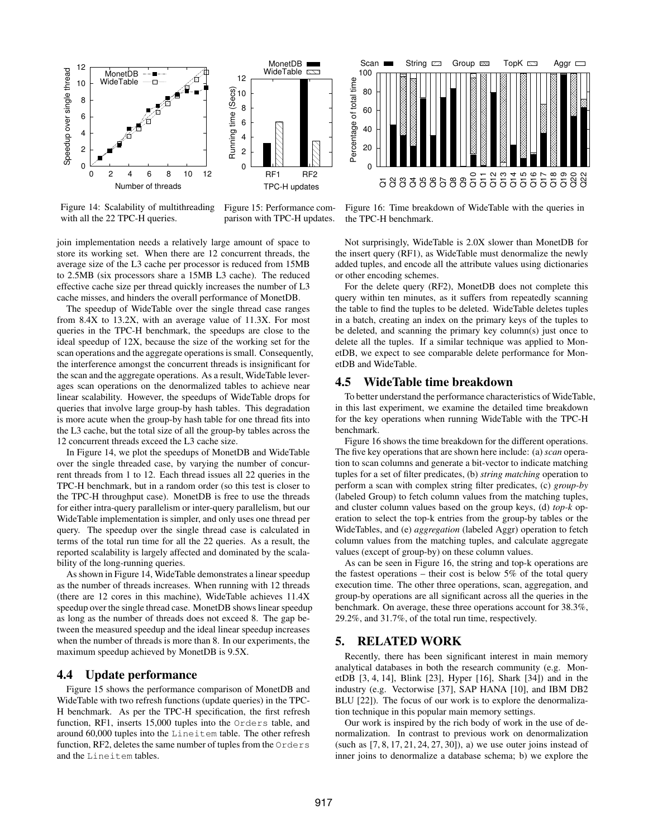

Figure 14: Scalability of multithreading with all the 22 TPC-H queries.

Figure 15: Performance comparison with TPC-H updates.

join implementation needs a relatively large amount of space to store its working set. When there are 12 concurrent threads, the average size of the L3 cache per processor is reduced from 15MB to 2.5MB (six processors share a 15MB L3 cache). The reduced effective cache size per thread quickly increases the number of L3 cache misses, and hinders the overall performance of MonetDB.

The speedup of WideTable over the single thread case ranges from 8.4X to 13.2X, with an average value of 11.3X. For most queries in the TPC-H benchmark, the speedups are close to the ideal speedup of 12X, because the size of the working set for the scan operations and the aggregate operations is small. Consequently, the interference amongst the concurrent threads is insignificant for the scan and the aggregate operations. As a result, WideTable leverages scan operations on the denormalized tables to achieve near linear scalability. However, the speedups of WideTable drops for queries that involve large group-by hash tables. This degradation is more acute when the group-by hash table for one thread fits into the L3 cache, but the total size of all the group-by tables across the 12 concurrent threads exceed the L3 cache size.

In Figure 14, we plot the speedups of MonetDB and WideTable over the single threaded case, by varying the number of concurrent threads from 1 to 12. Each thread issues all 22 queries in the TPC-H benchmark, but in a random order (so this test is closer to the TPC-H throughput case). MonetDB is free to use the threads for either intra-query parallelism or inter-query parallelism, but our WideTable implementation is simpler, and only uses one thread per query. The speedup over the single thread case is calculated in terms of the total run time for all the 22 queries. As a result, the reported scalability is largely affected and dominated by the scalability of the long-running queries.

As shown in Figure 14, WideTable demonstrates a linear speedup as the number of threads increases. When running with 12 threads (there are 12 cores in this machine), WideTable achieves 11.4X speedup over the single thread case. MonetDB shows linear speedup as long as the number of threads does not exceed 8. The gap between the measured speedup and the ideal linear speedup increases when the number of threads is more than 8. In our experiments, the maximum speedup achieved by MonetDB is 9.5X.

# 4.4 Update performance

Figure 15 shows the performance comparison of MonetDB and WideTable with two refresh functions (update queries) in the TPC-H benchmark. As per the TPC-H specification, the first refresh function, RF1, inserts 15,000 tuples into the Orders table, and around 60,000 tuples into the Lineitem table. The other refresh function, RF2, deletes the same number of tuples from the Orders and the Lineitem tables.

Figure 16: Time breakdown of WideTable with the queries in the TPC-H benchmark.

Not surprisingly, WideTable is 2.0X slower than MonetDB for the insert query (RF1), as WideTable must denormalize the newly added tuples, and encode all the attribute values using dictionaries or other encoding schemes.

For the delete query (RF2), MonetDB does not complete this query within ten minutes, as it suffers from repeatedly scanning the table to find the tuples to be deleted. WideTable deletes tuples in a batch, creating an index on the primary keys of the tuples to be deleted, and scanning the primary key column(s) just once to delete all the tuples. If a similar technique was applied to MonetDB, we expect to see comparable delete performance for MonetDB and WideTable.

#### 4.5 WideTable time breakdown

To better understand the performance characteristics of WideTable, in this last experiment, we examine the detailed time breakdown for the key operations when running WideTable with the TPC-H benchmark.

Figure 16 shows the time breakdown for the different operations. The five key operations that are shown here include: (a) *scan* operation to scan columns and generate a bit-vector to indicate matching tuples for a set of filter predicates, (b) *string matching* operation to perform a scan with complex string filter predicates, (c) *group-by* (labeled Group) to fetch column values from the matching tuples, and cluster column values based on the group keys, (d) *top-k* operation to select the top-k entries from the group-by tables or the WideTables, and (e) *aggregation* (labeled Aggr) operation to fetch column values from the matching tuples, and calculate aggregate values (except of group-by) on these column values.

As can be seen in Figure 16, the string and top-k operations are the fastest operations – their cost is below 5% of the total query execution time. The other three operations, scan, aggregation, and group-by operations are all significant across all the queries in the benchmark. On average, these three operations account for 38.3%, 29.2%, and 31.7%, of the total run time, respectively.

# 5. RELATED WORK

Recently, there has been significant interest in main memory analytical databases in both the research community (e.g. MonetDB [3, 4, 14], Blink [23], Hyper [16], Shark [34]) and in the industry (e.g. Vectorwise [37], SAP HANA [10], and IBM DB2 BLU [22]). The focus of our work is to explore the denormalization technique in this popular main memory settings.

Our work is inspired by the rich body of work in the use of denormalization. In contrast to previous work on denormalization (such as [7, 8, 17, 21, 24, 27, 30]), a) we use outer joins instead of inner joins to denormalize a database schema; b) we explore the